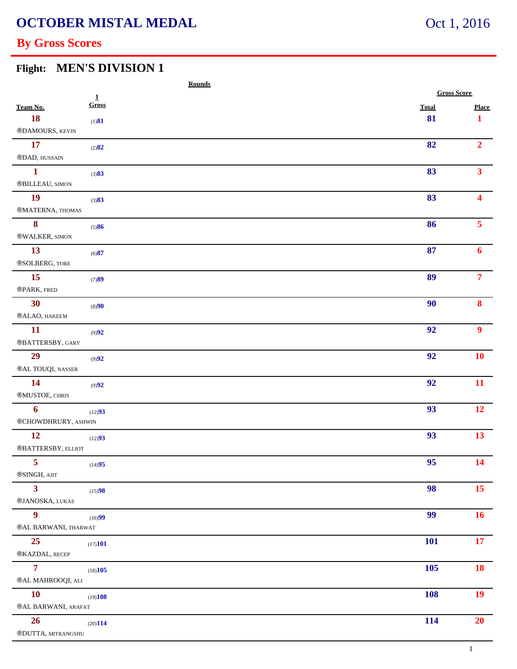#### **Flight: MEN'S DIVISION 1**

|                             | <b>Rounds</b>           |                    |                       |
|-----------------------------|-------------------------|--------------------|-----------------------|
|                             | $\overline{1}$<br>Gross |                    | <b>Gross Score</b>    |
| Team No.<br><b>18</b>       |                         | <b>Total</b><br>81 | Place<br>$\mathbf{1}$ |
| ®DAMOURS, KEVIN             | (1)81                   |                    |                       |
| 17                          |                         | 82                 | 2 <sup>1</sup>        |
| ®DAD, HUSSAIN               | (2)82                   |                    |                       |
| $\mathbf{1}$                |                         | 83                 | 3 <sup>1</sup>        |
| ®BILLEAU, SIMON             | (3)83                   |                    |                       |
| 19                          |                         | 83                 | $\blacktriangle$      |
| $@\mathbf{MATERNA},$ THOMAS | (3)83                   |                    |                       |
| $\bf{8}$                    |                         | 86                 | 5 <sup>5</sup>        |
| ®WALKER, SIMON              | (5)86                   |                    |                       |
| 13                          |                         | 87                 | 6                     |
| ®SOLBERG, TORE              | (6)87                   |                    |                       |
| 15                          |                         | 89                 | $\overline{7}$        |
| ®PARK, FRED                 | (7)89                   |                    |                       |
| 30                          |                         | 90                 | 8                     |
| ®ALAO, HAKEEM               | (8)90                   |                    |                       |
| <b>11</b>                   |                         | 92                 | 9 <sup>°</sup>        |
| ®BATTERSBY, GARY            | (9)92                   |                    |                       |
| 29                          |                         | 92                 | 10                    |
| ®AL TOUQI, NASSER           | (9)92                   |                    |                       |
| 14                          |                         | 92                 | 11                    |
| <b>®MUSTOE, CHRIS</b>       | (9)92                   |                    |                       |
| 6                           |                         | 93                 | 12                    |
| ®CHOWDHRURY, ASHWIN         | (12)93                  |                    |                       |
| 12                          |                         | 93                 | 13                    |
| ®BATTERSBY, ELLIOT          | (12)93                  |                    |                       |
| 5                           |                         | 95                 | 14                    |
| ®SINGH, AJIT                | (14)95                  |                    |                       |
| 3 <sup>1</sup>              |                         | 98                 | 15                    |
| ®JANOSKA, LUKAS             | (15)98                  |                    |                       |
| 9 <sup>°</sup>              |                         | 99                 | 16 <sup>1</sup>       |
| ®AL BARWANI, THARWAT        | (16)99                  |                    |                       |
| 25                          |                         | <b>101</b>         | 17                    |
| ®KAZDAL, RECEP              | (17)101                 |                    |                       |
| $\overline{7}$              |                         | 105                | <b>18</b>             |
| ®AL MAHROOQI, ALI           | (18)105                 |                    |                       |
| <b>10</b>                   |                         | 108                | 19                    |
| ®AL BARWANI, ARAFAT         | (19)108                 |                    |                       |
| 26                          |                         | 114                | 20                    |
| ®DUTTA, MITRANGSHU          | (20)114                 |                    |                       |
|                             |                         |                    |                       |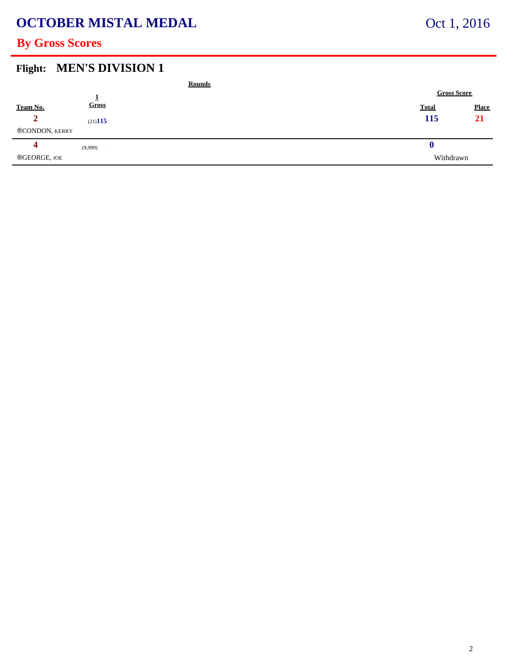# **OCTOBER MISTAL MEDAL**

### **By Gross Scores**

#### **Flight: MEN'S DIVISION 1**

|                |         | <b>Rounds</b> |                    |              |
|----------------|---------|---------------|--------------------|--------------|
|                |         |               | <b>Gross Score</b> |              |
| Team No.       | Gross   |               | <b>Total</b>       | <b>Place</b> |
|                | (21)115 |               | 115                | <b>21</b>    |
| ®CONDON, KERRY |         |               |                    |              |
|                | (9,999) |               | v                  |              |
| ®GEORGE, JOE   |         |               | Withdrawn          |              |